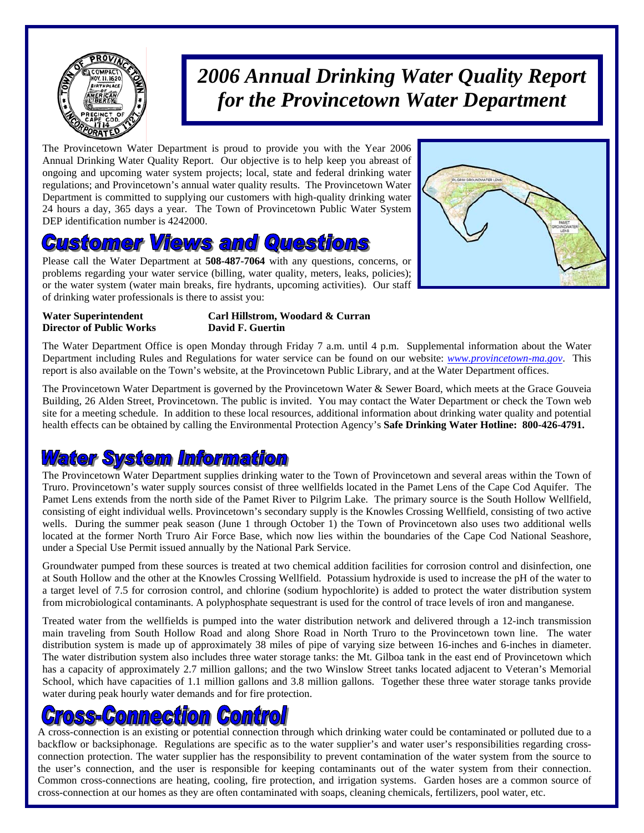

## *2006 Annual Drinking Water Quality Report for the Provincetown Water Department*

The Provincetown Water Department is proud to provide you with the Year 2006 Annual Drinking Water Quality Report. Our objective is to help keep you abreast of ongoing and upcoming water system projects; local, state and federal drinking water regulations; and Provincetown's annual water quality results. The Provincetown Water Department is committed to supplying our customers with high-quality drinking water 24 hours a day, 365 days a year. The Town of Provincetown Public Water System DEP identification number is 4242000.

## **Customer Views and Questions**

Please call the Water Department at **508-487-7064** with any questions, concerns, or problems regarding your water service (billing, water quality, meters, leaks, policies); or the water system (water main breaks, fire hydrants, upcoming activities). Our staff of drinking water professionals is there to assist you:



**Director of Public Works David F. Guertin** 

**Water Superintendent Carl Hillstrom, Woodard & Curran** 

The Water Department Office is open Monday through Friday 7 a.m. until 4 p.m. Supplemental information about the Water Department including Rules and Regulations for water service can be found on our website: *www.provincetown-ma.gov*. This report is also available on the Town's website, at the Provincetown Public Library, and at the Water Department offices.

The Provincetown Water Department is governed by the Provincetown Water & Sewer Board, which meets at the Grace Gouveia Building, 26 Alden Street, Provincetown. The public is invited. You may contact the Water Department or check the Town web site for a meeting schedule. In addition to these local resources, additional information about drinking water quality and potential health effects can be obtained by calling the Environmental Protection Agency's **Safe Drinking Water Hotline: 800-426-4791.** 

### **ater System Information**

The Provincetown Water Department supplies drinking water to the Town of Provincetown and several areas within the Town of Truro. Provincetown's water supply sources consist of three wellfields located in the Pamet Lens of the Cape Cod Aquifer. The Pamet Lens extends from the north side of the Pamet River to Pilgrim Lake. The primary source is the South Hollow Wellfield, consisting of eight individual wells. Provincetown's secondary supply is the Knowles Crossing Wellfield, consisting of two active wells. During the summer peak season (June 1 through October 1) the Town of Provincetown also uses two additional wells located at the former North Truro Air Force Base, which now lies within the boundaries of the Cape Cod National Seashore, under a Special Use Permit issued annually by the National Park Service.

Groundwater pumped from these sources is treated at two chemical addition facilities for corrosion control and disinfection, one at South Hollow and the other at the Knowles Crossing Wellfield. Potassium hydroxide is used to increase the pH of the water to a target level of 7.5 for corrosion control, and chlorine (sodium hypochlorite) is added to protect the water distribution system from microbiological contaminants. A polyphosphate sequestrant is used for the control of trace levels of iron and manganese.

Treated water from the wellfields is pumped into the water distribution network and delivered through a 12-inch transmission main traveling from South Hollow Road and along Shore Road in North Truro to the Provincetown town line. The water distribution system is made up of approximately 38 miles of pipe of varying size between 16-inches and 6-inches in diameter. The water distribution system also includes three water storage tanks: the Mt. Gilboa tank in the east end of Provincetown which has a capacity of approximately 2.7 million gallons; and the two Winslow Street tanks located adjacent to Veteran's Memorial School, which have capacities of 1.1 million gallons and 3.8 million gallons. Together these three water storage tanks provide water during peak hourly water demands and for fire protection.

# GommeGdlom (Gomdko

A cross-connection is an existing or potential connection through which drinking water could be contaminated or polluted due to a backflow or backsiphonage. Regulations are specific as to the water supplier's and water user's responsibilities regarding crossconnection protection. The water supplier has the responsibility to prevent contamination of the water system from the source to the user's connection, and the user is responsible for keeping contaminants out of the water system from their connection. Common cross-connections are heating, cooling, fire protection, and irrigation systems. Garden hoses are a common source of cross-connection at our homes as they are often contaminated with soaps, cleaning chemicals, fertilizers, pool water, etc.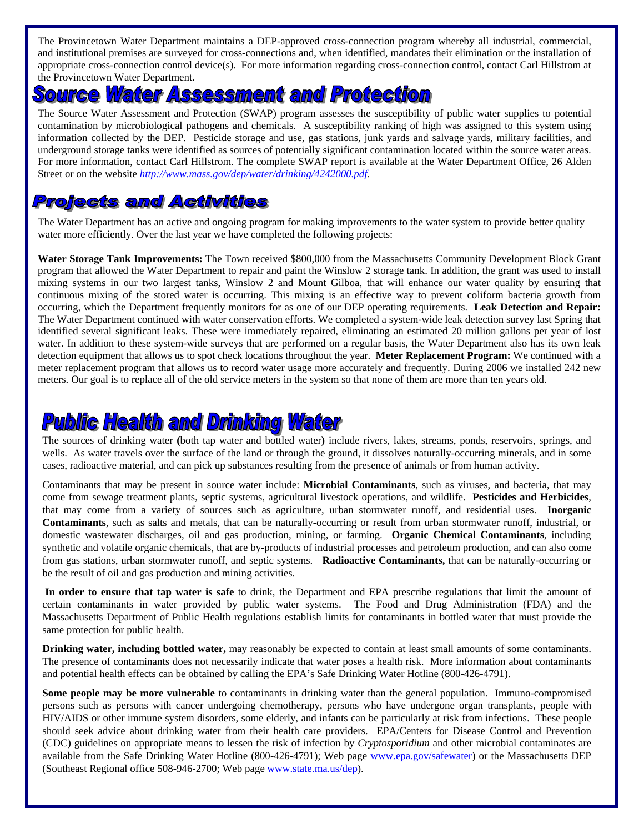The Provincetown Water Department maintains a DEP-approved cross-connection program whereby all industrial, commercial, and institutional premises are surveyed for cross-connections and, when identified, mandates their elimination or the installation of appropriate cross-connection control device(s). For more information regarding cross-connection control, contact Carl Hillstrom at the Provincetown Water Department.

#### Water Assessment and Protection  $50$

The Source Water Assessment and Protection (SWAP) program assesses the susceptibility of public water supplies to potential contamination by microbiological pathogens and chemicals. A susceptibility ranking of high was assigned to this system using information collected by the DEP. Pesticide storage and use, gas stations, junk yards and salvage yards, military facilities, and underground storage tanks were identified as sources of potentially significant contamination located within the source water areas. For more information, contact Carl Hillstrom. The complete SWAP report is available at the Water Department Office, 26 Alden Street or on the website *http://www.mass.gov/dep/water/drinking/4242000.pdf*.

#### **Projects and Activities**

The Water Department has an active and ongoing program for making improvements to the water system to provide better quality water more efficiently. Over the last year we have completed the following projects:

**Water Storage Tank Improvements:** The Town received \$800,000 from the Massachusetts Community Development Block Grant program that allowed the Water Department to repair and paint the Winslow 2 storage tank. In addition, the grant was used to install mixing systems in our two largest tanks, Winslow 2 and Mount Gilboa, that will enhance our water quality by ensuring that continuous mixing of the stored water is occurring. This mixing is an effective way to prevent coliform bacteria growth from occurring, which the Department frequently monitors for as one of our DEP operating requirements. **Leak Detection and Repair:**  The Water Department continued with water conservation efforts. We completed a system-wide leak detection survey last Spring that identified several significant leaks. These were immediately repaired, eliminating an estimated 20 million gallons per year of lost water. In addition to these system-wide surveys that are performed on a regular basis, the Water Department also has its own leak detection equipment that allows us to spot check locations throughout the year. **Meter Replacement Program:** We continued with a meter replacement program that allows us to record water usage more accurately and frequently. During 2006 we installed 242 new meters. Our goal is to replace all of the old service meters in the system so that none of them are more than ten years old.

### **Pulblic Health and Drinking Water**

The sources of drinking water **(**both tap water and bottled water**)** include rivers, lakes, streams, ponds, reservoirs, springs, and wells. As water travels over the surface of the land or through the ground, it dissolves naturally-occurring minerals, and in some cases, radioactive material, and can pick up substances resulting from the presence of animals or from human activity.

Contaminants that may be present in source water include: **Microbial Contaminants**, such as viruses, and bacteria, that may come from sewage treatment plants, septic systems, agricultural livestock operations, and wildlife. **Pesticides and Herbicides**, that may come from a variety of sources such as agriculture, urban stormwater runoff, and residential uses. **Inorganic Contaminants**, such as salts and metals, that can be naturally-occurring or result from urban stormwater runoff, industrial, or domestic wastewater discharges, oil and gas production, mining, or farming. **Organic Chemical Contaminants**, including synthetic and volatile organic chemicals, that are by-products of industrial processes and petroleum production, and can also come from gas stations, urban stormwater runoff, and septic systems. **Radioactive Contaminants,** that can be naturally-occurring or be the result of oil and gas production and mining activities.

**In order to ensure that tap water is safe** to drink, the Department and EPA prescribe regulations that limit the amount of certain contaminants in water provided by public water systems. The Food and Drug Administration (FDA) and the Massachusetts Department of Public Health regulations establish limits for contaminants in bottled water that must provide the same protection for public health.

**Drinking water, including bottled water,** may reasonably be expected to contain at least small amounts of some contaminants. The presence of contaminants does not necessarily indicate that water poses a health risk. More information about contaminants and potential health effects can be obtained by calling the EPA's Safe Drinking Water Hotline (800-426-4791).

**Some people may be more vulnerable** to contaminants in drinking water than the general population. Immuno-compromised persons such as persons with cancer undergoing chemotherapy, persons who have undergone organ transplants, people with HIV/AIDS or other immune system disorders, some elderly, and infants can be particularly at risk from infections. These people should seek advice about drinking water from their health care providers. EPA/Centers for Disease Control and Prevention (CDC) guidelines on appropriate means to lessen the risk of infection by *Cryptosporidium* and other microbial contaminates are available from the Safe Drinking Water Hotline (800-426-4791); Web page www.epa.gov/safewater) or the Massachusetts DEP (Southeast Regional office 508-946-2700; Web page www.state.ma.us/dep).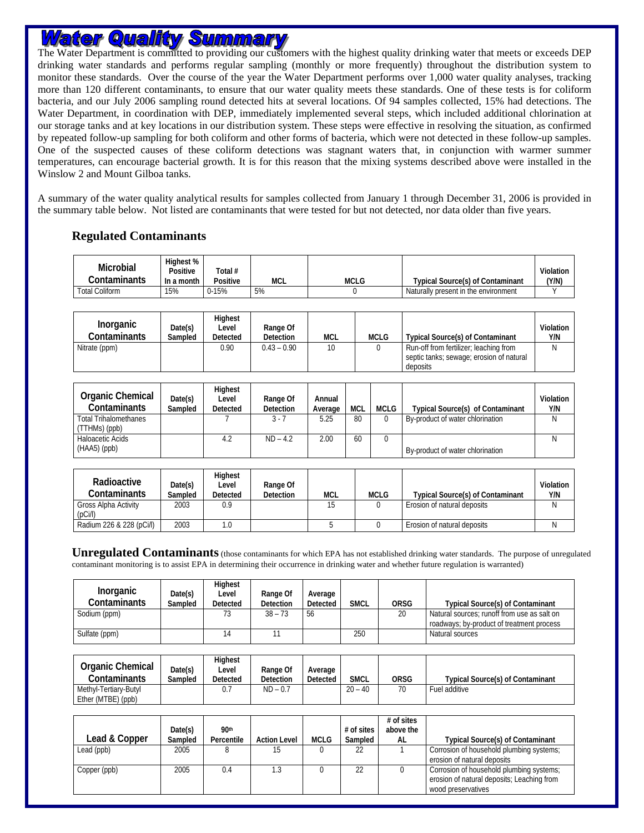### <u>Water Quality Summary</u>

The Water Department is committed to providing our customers with the highest quality drinking water that meets or exceeds DEP drinking water standards and performs regular sampling (monthly or more frequently) throughout the distribution system to monitor these standards. Over the course of the year the Water Department performs over 1,000 water quality analyses, tracking more than 120 different contaminants, to ensure that our water quality meets these standards. One of these tests is for coliform bacteria, and our July 2006 sampling round detected hits at several locations. Of 94 samples collected, 15% had detections. The Water Department, in coordination with DEP, immediately implemented several steps, which included additional chlorination at our storage tanks and at key locations in our distribution system. These steps were effective in resolving the situation, as confirmed by repeated follow-up sampling for both coliform and other forms of bacteria, which were not detected in these follow-up samples. One of the suspected causes of these coliform detections was stagnant waters that, in conjunction with warmer summer temperatures, can encourage bacterial growth. It is for this reason that the mixing systems described above were installed in the Winslow 2 and Mount Gilboa tanks.

A summary of the water quality analytical results for samples collected from January 1 through December 31, 2006 is provided in the summary table below. Not listed are contaminants that were tested for but not detected, nor data older than five years.

#### **Regulated Contaminants**

| Microbial             | Highest %<br>Positive | Total #         |     |             |                                         | Violation |
|-----------------------|-----------------------|-----------------|-----|-------------|-----------------------------------------|-----------|
| Contaminants          | In a month            | <b>Positive</b> | MCL | <b>MCLG</b> | <b>Typical Source(s) of Contaminant</b> | (Y/N)     |
| <b>Total Coliform</b> | 15%                   | $0 - 15%$       | 5%  |             | Naturally present in the environment    |           |

| <b>Inorganic</b><br>Contaminants | Date(s)<br>Sampled | Highest<br>Level<br>Detected | Range Of<br><b>Detection</b> | <b>MCL</b> | MCLG | <b>Typical Source(s) of Contaminant</b>                                                        | Violation<br>Y/N |
|----------------------------------|--------------------|------------------------------|------------------------------|------------|------|------------------------------------------------------------------------------------------------|------------------|
| Nitrate (ppm)                    |                    | 0.90                         | $0.43 - 0.90$                | 10         |      | Run-off from fertilizer; leaching from<br>septic tanks; sewage; erosion of natural<br>deposits | N                |

| <b>Organic Chemical</b><br><b>Contaminants</b> | Date(s)<br>Sampled | Highest<br>Level<br><b>Detected</b> | Range Of<br><b>Detection</b> | Annual<br>Average | MCL | MCLG | <b>Typical Source(s) of Contaminant</b> | Violation<br>Y/N |
|------------------------------------------------|--------------------|-------------------------------------|------------------------------|-------------------|-----|------|-----------------------------------------|------------------|
| <b>Total Trihalomethanes</b><br>(TTHMs) (ppb)  |                    |                                     | 3 - 7                        | 5.25              | 80  |      | By-product of water chlorination        | N                |
| Haloacetic Acids<br>$(HAA5)$ (ppb)             |                    | 4.2                                 | $ND - 4.2$                   | 2.00              | 60  |      | By-product of water chlorination        | N                |

| Radioactive<br>Contaminants     | Date(s)<br>Sampled | Highest<br>Level<br><b>Detected</b> | Range Of<br><b>Detection</b> | <b>MCL</b> | <b>MCLG</b> | <b>Typical Source(s) of Contaminant</b> | Violation<br>Y/N |
|---------------------------------|--------------------|-------------------------------------|------------------------------|------------|-------------|-----------------------------------------|------------------|
| Gross Alpha Activity<br>(pC)/ ) | 2003               | 0.9                                 |                              | 15         |             | Erosion of natural deposits             |                  |
| Radium 226 & 228 (pCi/l)        | 2003               | .0                                  |                              |            |             | Erosion of natural deposits             |                  |

**Unregulated Contaminants** (those contaminants for which EPA has not established drinking water standards. The purpose of unregulated contaminant monitoring is to assist EPA in determining their occurrence in drinking water and whether future regulation is warranted)

| Inorganic<br>Contaminants | Date(s)<br>Sampled | Highest<br>Level<br>Detected | Range Of<br><b>Detection</b> | Average<br>Detected | <b>SMCL</b> | <b>ORSG</b> | <b>Typical Source(s) of Contaminant</b>                                                  |
|---------------------------|--------------------|------------------------------|------------------------------|---------------------|-------------|-------------|------------------------------------------------------------------------------------------|
| Sodium (ppm)              |                    | 73                           | $38 - 73$                    | 56                  |             | 20          | Natural sources; runoff from use as salt on<br>roadways; by-product of treatment process |
| Sulfate (ppm)             |                    |                              |                              |                     | 250         |             | Natural sources                                                                          |

| Organic Chemical<br>Contaminants            | Date(s)<br>Sampled | Hiahest<br>Level<br>Detected | Range Of<br>Detection | Average<br>Detected | <b>SMCL</b> | <b>ORSG</b> | <b>Typical Source(s) of Contaminant</b> |
|---------------------------------------------|--------------------|------------------------------|-----------------------|---------------------|-------------|-------------|-----------------------------------------|
| Methyl-Tertiary-Butyl<br>Ether (MTBE) (ppb) |                    | υ.,                          | $ND - 0.7$            |                     | $20 - 40$   | 70          | Fuel additive                           |

| Lead & Copper | Date(s)<br>Sampled | 90 <sup>th</sup><br>Percentile | <b>Action Level</b> | <b>MCLG</b> | # of sites<br>Sampled | $#$ of sites<br>above the<br>AL | <b>Typical Source(s) of Contaminant</b>                                                                      |
|---------------|--------------------|--------------------------------|---------------------|-------------|-----------------------|---------------------------------|--------------------------------------------------------------------------------------------------------------|
| Lead (ppb)    | 2005               |                                | 15                  |             | 22                    |                                 | Corrosion of household plumbing systems;<br>erosion of natural deposits                                      |
| Copper (ppb)  | 2005               | 0.4                            | 1.3                 |             | 22                    |                                 | Corrosion of household plumbing systems;<br>erosion of natural deposits; Leaching from<br>wood preservatives |